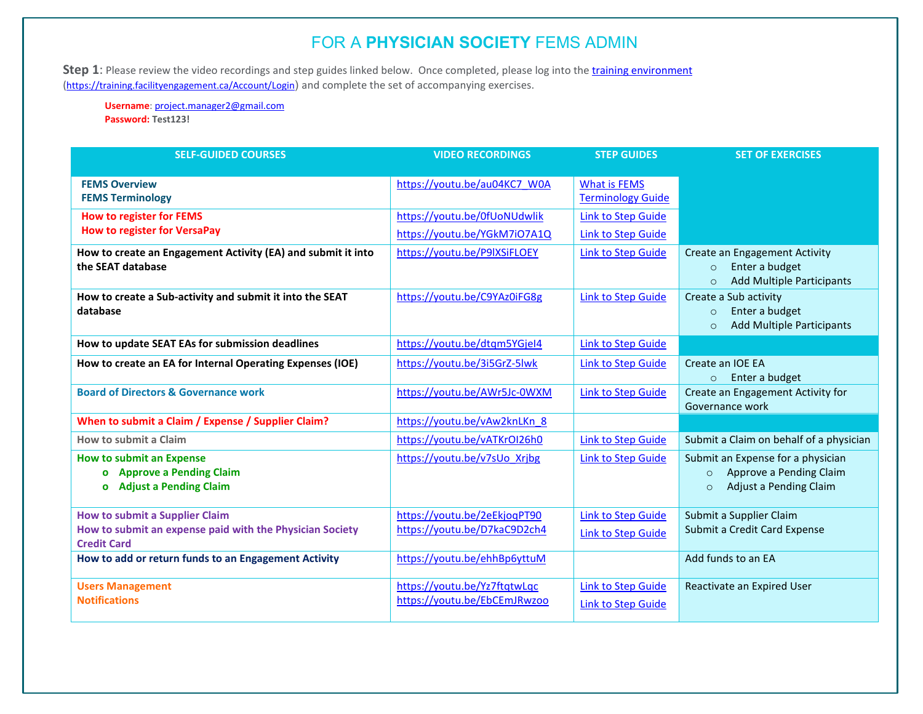Step 1: Please review the video recordings and step guides linked below. Once completed, please log into the *training environment* [\(https://training.facilityengagement.ca/Account/Login](https://training.facilityengagement.ca/Account/Login)) and complete the set of accompanying exercises.

**Username**: [project.manager2@gmail.com](mailto:project.manager2@gmail.com) **Password: Test123!**

| <b>SELF-GUIDED COURSES</b>                                   | <b>VIDEO RECORDINGS</b>      | <b>STEP GUIDES</b>        | <b>SET OF EXERCISES</b>                                                  |
|--------------------------------------------------------------|------------------------------|---------------------------|--------------------------------------------------------------------------|
|                                                              |                              |                           |                                                                          |
| <b>FEMS Overview</b>                                         | https://youtu.be/au04KC7 W0A | <b>What is FEMS</b>       |                                                                          |
| <b>FEMS Terminology</b>                                      |                              | <b>Terminology Guide</b>  |                                                                          |
| <b>How to register for FEMS</b>                              | https://youtu.be/0fUoNUdwlik | <b>Link to Step Guide</b> |                                                                          |
| <b>How to register for VersaPay</b>                          | https://youtu.be/YGkM7i07A1Q | Link to Step Guide        |                                                                          |
| How to create an Engagement Activity (EA) and submit it into | https://youtu.be/P9IXSiFLOEY | <b>Link to Step Guide</b> | <b>Create an Engagement Activity</b>                                     |
| the SEAT database                                            |                              |                           | Enter a budget<br>$\circ$<br><b>Add Multiple Participants</b><br>$\circ$ |
| How to create a Sub-activity and submit it into the SEAT     | https://youtu.be/C9YAz0iFG8g | <b>Link to Step Guide</b> | Create a Sub activity                                                    |
| database                                                     |                              |                           | Enter a budget<br>$\circ$<br><b>Add Multiple Participants</b><br>$\circ$ |
| How to update SEAT EAs for submission deadlines              | https://youtu.be/dtqm5YGjel4 | Link to Step Guide        |                                                                          |
| How to create an EA for Internal Operating Expenses (IOE)    | https://youtu.be/3i5GrZ-5lwk | Link to Step Guide        | Create an IOE EA<br>Enter a budget<br>$\circ$                            |
| <b>Board of Directors &amp; Governance work</b>              | https://youtu.be/AWr5Jc-0WXM | <b>Link to Step Guide</b> | Create an Engagement Activity for<br>Governance work                     |
| When to submit a Claim / Expense / Supplier Claim?           | https://youtu.be/vAw2knLKn 8 |                           |                                                                          |
| How to submit a Claim                                        | https://youtu.be/vATKrOI26h0 | <b>Link to Step Guide</b> | Submit a Claim on behalf of a physician                                  |
| <b>How to submit an Expense</b>                              | https://youtu.be/v7sUo Xrjbg | <b>Link to Step Guide</b> | Submit an Expense for a physician                                        |
| o Approve a Pending Claim                                    |                              |                           | Approve a Pending Claim<br>$\circ$                                       |
| <b>Adjust a Pending Claim</b><br>$\mathbf{o}$                |                              |                           | Adjust a Pending Claim<br>$\circ$                                        |
| <b>How to submit a Supplier Claim</b>                        | https://youtu.be/2eEkjoqPT90 | <b>Link to Step Guide</b> | Submit a Supplier Claim                                                  |
| How to submit an expense paid with the Physician Society     | https://youtu.be/D7kaC9D2ch4 | Link to Step Guide        | Submit a Credit Card Expense                                             |
| <b>Credit Card</b>                                           |                              |                           |                                                                          |
| How to add or return funds to an Engagement Activity         | https://youtu.be/ehhBp6yttuM |                           | Add funds to an EA                                                       |
| <b>Users Management</b>                                      | https://youtu.be/Yz7ftqtwLqc | <b>Link to Step Guide</b> | Reactivate an Expired User                                               |
| <b>Notifications</b>                                         | https://voutu.be/EbCEmJRwzoo | <b>Link to Step Guide</b> |                                                                          |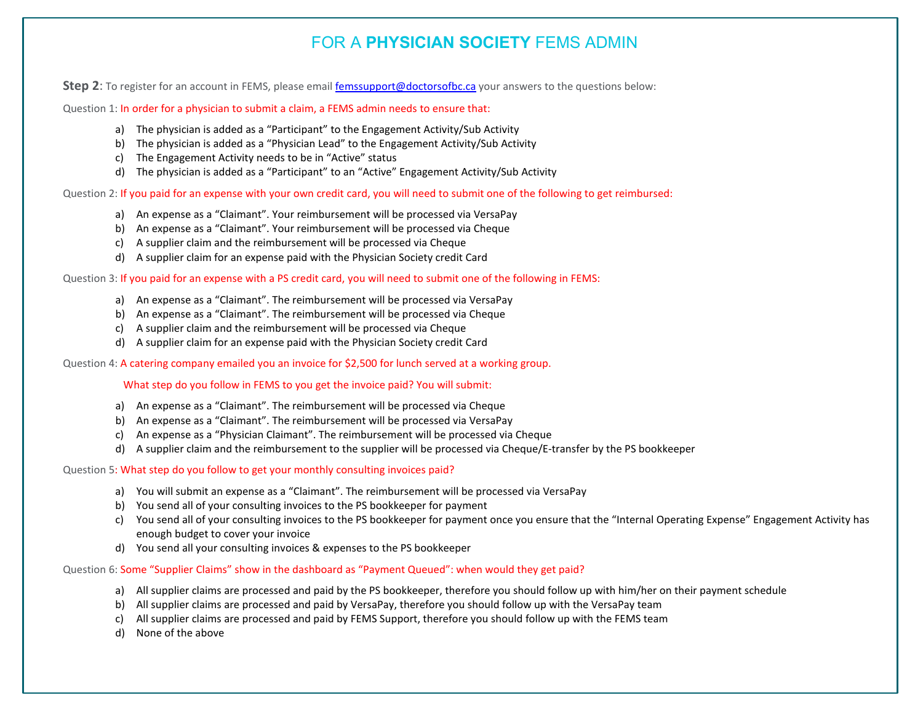**Step 2**: To register for an account in FEMS, please emai[l femssupport@doctorsofbc.ca](mailto:femssupport@doctorsofbc.ca) your answers to the questions below:

Question 1: In order for a physician to submit a claim, a FEMS admin needs to ensure that:

- a) The physician is added as a "Participant" to the Engagement Activity/Sub Activity
- b) The physician is added as a "Physician Lead" to the Engagement Activity/Sub Activity
- c) The Engagement Activity needs to be in "Active" status
- d) The physician is added as a "Participant" to an "Active" Engagement Activity/Sub Activity

Question 2: If you paid for an expense with your own credit card, you will need to submit one of the following to get reimbursed:

- a) An expense as a "Claimant". Your reimbursement will be processed via VersaPay
- b) An expense as a "Claimant". Your reimbursement will be processed via Cheque
- c) A supplier claim and the reimbursement will be processed via Cheque
- d) A supplier claim for an expense paid with the Physician Society credit Card

Question 3: If you paid for an expense with a PS credit card, you will need to submit one of the following in FEMS:

- a) An expense as a "Claimant". The reimbursement will be processed via VersaPay
- b) An expense as a "Claimant". The reimbursement will be processed via Cheque
- c) A supplier claim and the reimbursement will be processed via Cheque
- d) A supplier claim for an expense paid with the Physician Society credit Card

Question 4: A catering company emailed you an invoice for \$2,500 for lunch served at a working group.

What step do you follow in FEMS to you get the invoice paid? You will submit:

- a) An expense as a "Claimant". The reimbursement will be processed via Cheque
- b) An expense as a "Claimant". The reimbursement will be processed via VersaPay
- c) An expense as a "Physician Claimant". The reimbursement will be processed via Cheque
- d) A supplier claim and the reimbursement to the supplier will be processed via Cheque/E-transfer by the PS bookkeeper

Question 5: What step do you follow to get your monthly consulting invoices paid?

- a) You will submit an expense as a "Claimant". The reimbursement will be processed via VersaPay
- b) You send all of your consulting invoices to the PS bookkeeper for payment
- c) You send all of your consulting invoices to the PS bookkeeper for payment once you ensure that the "Internal Operating Expense" Engagement Activity has enough budget to cover your invoice
- d) You send all your consulting invoices & expenses to the PS bookkeeper

Question 6: Some "Supplier Claims" show in the dashboard as "Payment Queued": when would they get paid?

- a) All supplier claims are processed and paid by the PS bookkeeper, therefore you should follow up with him/her on their payment schedule
- b) All supplier claims are processed and paid by VersaPay, therefore you should follow up with the VersaPay team
- c) All supplier claims are processed and paid by FEMS Support, therefore you should follow up with the FEMS team
- d) None of the above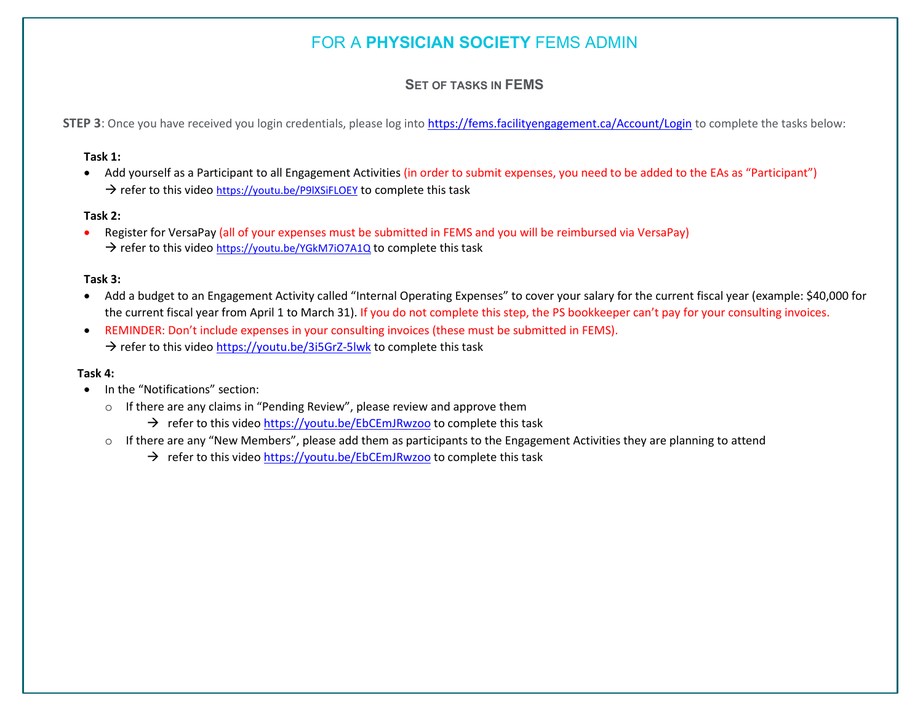### **SET OF TASKS IN FEMS**

**STEP 3**: Once you have received you login credentials, please log into<https://fems.facilityengagement.ca/Account/Login> to complete the tasks below:

#### **Task 1:**

• Add yourself as a Participant to all Engagement Activities (in order to submit expenses, you need to be added to the EAs as "Participant")  $\rightarrow$  refer to this video https://youtu.be/P9IXSiFLOEY to complete this task

#### **Task 2:**

• Register for VersaPay (all of your expenses must be submitted in FEMS and you will be reimbursed via VersaPay)  $\rightarrow$  refer to this video <https://youtu.be/YGkM7iO7A1Q> to complete this task

#### **Task 3:**

- Add a budget to an Engagement Activity called "Internal Operating Expenses" to cover your salary for the current fiscal year (example: \$40,000 for the current fiscal year from April 1 to March 31). If you do not complete this step, the PS bookkeeper can't pay for your consulting invoices.
- REMINDER: Don't include expenses in your consulting invoices (these must be submitted in FEMS).  $\rightarrow$  refer to this vide[o https://youtu.be/3i5GrZ-5lwk](https://youtu.be/3i5GrZ-5lwk) to complete this task

#### **Task 4:**

- In the "Notifications" section:
	- o If there are any claims in "Pending Review", please review and approve them
		- $\rightarrow$  refer to this video <https://youtu.be/EbCEmJRwzoo> to complete this task
	- $\circ$  If there are any "New Members", please add them as participants to the Engagement Activities they are planning to attend
		- $\rightarrow$  refer to this video<https://youtu.be/EbCEmJRwzoo> to complete this task